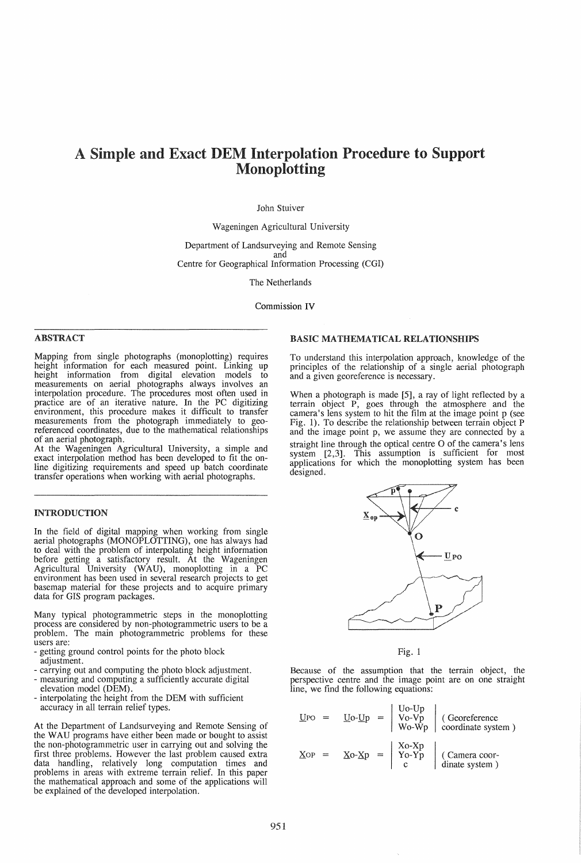# A Simple and Exact DEM Interpolation Procedure to Support Monoplotting

## John Stuiver

Wageningen Agricultural University

Department of Landsurveying and Remote Sensing and Centre for Geographical Information Processing (CGI)

The Netherlands

Commission IV

## ABSTRACT

Mapping from single photographs (monoplotting) requires height information for each measured point. Linking up height information from digital elevation models to measurements on aerial photographs always involves an interpolation procedure. The procedures most often used in practice are of an iterative nature. In the PC digitizing environment, this procedure makes it difficult to transfer measurements from the photograph immediately to georeferenced coordinates, due to the mathematical relationships of an aerial photograph.

At the Wageningen Agricultural University, a simple and exact interpolation method has been developed to fit the online digitizing requirements and speed up batch coordinate transfer operations when working with aerial photographs.

## INTRODUCTION

In the field of digital mapping when working from single aerial photographs (MONOPLOTTING), one has always had to deal with the problem of interpolating height information before getting a satisfactory result. At the Wageningen Agricultural University (WAU), monoplotting in a PC environment has been used in several research projects to get basemap material for these projects and to acquire primary data for GIS program packages.

Many typical photogrammetric steps in the monoplotting<br>process are considered by non-photogrammetric users to be a problem. The main photogrammetric problems for these users are:<br>- getting ground control points for the photo block

- 
- adjustment.<br>- carrying out and computing the photo block adjustment.
- measuring and computing a sufficiently accurate digital elevation model (DEM).
- interpolating the height from the DEM with sufficient accuracy in all terrain relief types.

At the Department of Landsurveying and Remote Sensing of the WAU programs have either been made or bought to assist the non-photogrammetric user in carrying out and solving the first three problems. However the last problem caused extra data handling, relatively long computation times and problems in areas with extreme terrain relief. In this paper the mathematical approach and some of the applications will be explained of the developed interpolation.

## BASIC MATHEMATICAL RELATIONSHIPS

To understand this interpolation approach, knowledge of the principles of the relationship of a single aerial photograph and a given georeference is necessary.

When a photograph is made [5], a ray of light reflected by a terrain object P, goes through the atmosphere and the camera's lens system to hit the film at the image point p (see Fig. 1). To describe the relationship between terrain object P and the image point p, we assume they are connected by a straight line through the optical centre O of the camera's lens system  $[2,3]$ . This assumption is sufficient for most applications for which the monoplotting system has been designed.



Fig. 1

Because of the assumption that the terrain object, the perspective centre and the image point are on one straight line, we find the following equations:

| UPO |  |  | $\underline{\text{Uo-Up}} = \begin{vmatrix} \text{Uo-Up} \\ \text{Vo-Vp} \\ \text{Wo-Wp} \end{vmatrix}$ (Georeference<br>wo-Wp coordinate system ) |
|-----|--|--|----------------------------------------------------------------------------------------------------------------------------------------------------|
| Xop |  |  | $Xo-Xp = \begin{vmatrix} Xo-Xp \\ Yo-Yp \\ c \end{vmatrix}$ (Camera coor-<br>dinate system)                                                        |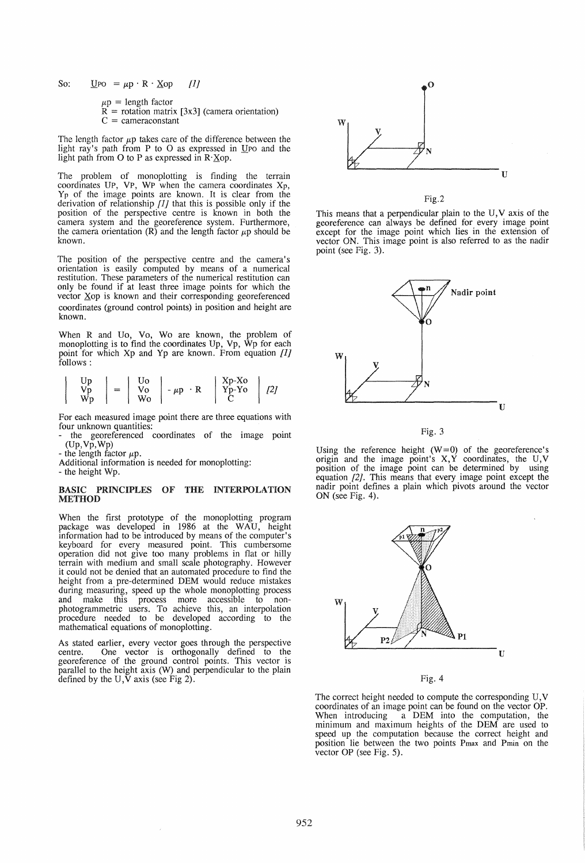So:  $\text{U}$ PO =  $\mu$ p · R · Xop [1]

 $\mu$ p = length factor  $R =$  rotation matrix [3x3] (camera orientation)  $C =$  cameraconstant

The length factor  $\mu$ p takes care of the difference between the light ray's path from P to O as expressed in  $U$ Po and the light path from 0 to P as expressed in R·Xop.

The problem of monoplotting is finding the terrain coordinates UP, VP, WP when the camera coordinates Xp, Yp of the image points are known. It is clear from the derivation of relationship [l} that this is possible only if the position of the perspective centre is known in both the camera system and the georeference system. Furthermore, the camera orientation  $(R)$  and the length factor  $\mu$ p should be known.

The position of the perspective centre and the camera's orientation is easily computed by means of a numerical restitution. These parameters of the numerical restitution can only be found if at least three image points for which the vector Xop is known and their corresponding georeferenced coordinates (ground control points) in position and height are known.

When R and Uo, Vo, Wo are known, the problem of monoplotting is to find the coordinates Up, Vp, Wp for each point for which Xp and Yp are known. From equation [1] follows:

$$
\left|\begin{array}{cc} Up \\ Vp \\ Wp \end{array}\right| = \left|\begin{array}{cc} Uo \\ Vo \\ Wo \end{array}\right| - \mu p \cdot R \quad \left|\begin{array}{cc} Xp-Xo \\ Yp-Yo \\ C \end{array}\right| \quad [2]
$$

For each measured image point there are three equations with four unknown quantities:

four unknown quantities:<br>- the georeferenced coordinates of the image point (Up,Vp,Wp)

- the length factor  $\mu$ p.

Additional information is needed for monoplotting:

- the height Wp.

### BASIC PRINCIPLES OF THE INTERPOLATION **METHOD**

When the first prototype of the monoplotting program package was developed in 1986 at the WAU, height information had to be introduced by means of the computer's keyboard for every measured point. This cumbersome operation did not give too many problems in flat or hilly terrain with medium and small scale photography. However it could not be denied that an automated procedure to find the height from a pre-determined DEM would reduce mistakes during measuring, speed up the whole monoplotting process and make this process more accessible to nonphotogrammetric users. To achieve this, an interpolation procedure needed to be developed according to the mathematical equations of monoplotting.

As stated earlier, every vector goes through the perspective centre. One vector is orthogonally defined to the georeference of the ground control points. This vector is parallel to the height axis (W) and perpendicular to the plain defined by the  $U$ ,  $\bar{V}$  axis (see Fig 2).



Fig.2

This means that a perpendicular plain to the U, V axis of the georeference can always be defined for every image point except for the image point which lies in the extension of vector ON. This image point is also referred to as the nadir point (see Fig. 3).



Fig. 3

Using the reference height  $(W=0)$  of the georeference's origin and the image point's  $X, Y$  coordinates, the  $U, V$ position of the image point can be determined by using equation [2]. This means that every image point except the nadir point defines a plain which pivots around the vector ON (see Fig. 4).





The correct height needed to compute the corresponding U, V coordinates of an image point can be found on the vector OP. When introducing a DEM into the computation, the minimum and maximum heights of the DEM are used to speed up the computation because the correct height and position lie between the two points Pmax and Pmin on the vector OP (see Fig. 5).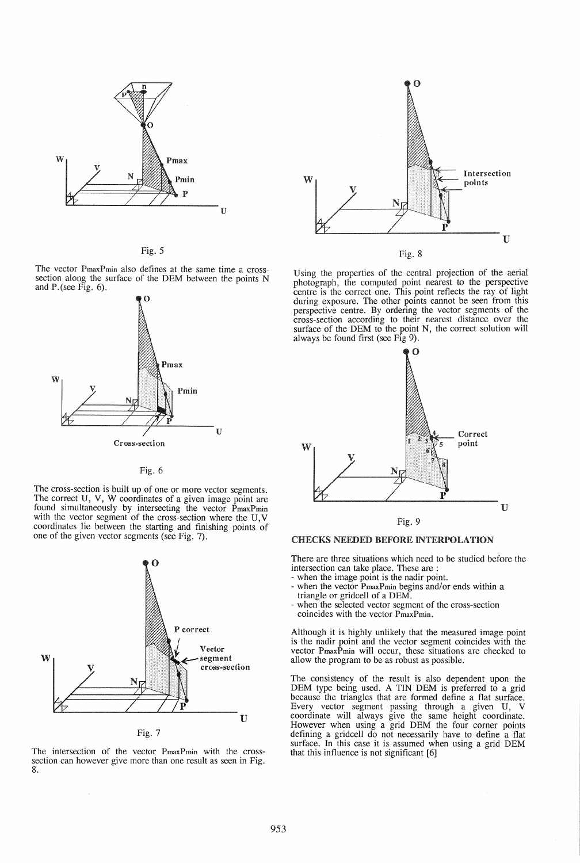

Fig. 5

The vector PmaxPmin also defines at the same time a cross- section along the surface of the DEM between the points N and P.(see Fig. 6).



Fig. 6

The cross-section is built up of one or more vector segments. The correct U, V, W coordinates of a given image point are found simultaneously by intersecting the vector PmaxPmin with the vector segment of the cross-section where the U, V coordinates lie between the starting and finishing points of one of the given vector segments (see Fig. 7).



The intersection of the vector PmaxPmin with the crosssection can however give more than one result as seen in Fig. 8.

 $\bar{\bar{z}}$ 



Using the properties of the central projection of the aerial photograph, the computed point nearest to the perspective centre is the correct one. This point reflects the ray of light during exposure. The other points cannot be seen from this perspective centre. By ordering the vector segments of the cross-section according to their nearest distance over the surface of the DEM to the point N, the correct solution will always be found first (see Fig 9).



CHECKS NEEDED BEFORE INTERPOLATION

There are three situations which need to be studied before the intersection can take place. These are :

- 
- when the image point is the nadir point.<br>
when the vector PmaxPmin begins and/or ends within a triangle or gridcell of a DEM.<br>
when the selected vector segment of the cross-section
- coincides with the vector PmaxPmin.

Although it is highly unlikely that the measured image point is the nadir point and the vector segment coincides with the vector PmaxPmin will occur, these situations are checked to allow the program to be as robust as possible.

The consistency of the result is also dependent upon the DEM type being used. A TIN DEM is preferred to a grid because the triangles that are formed define a flat surface. Every vector segment passing through a given U, V coordinate will always give the same height coordinate. However when using a grid DEM the four corner points defining a gridcell do not necessarily have to define a flat surface. In this case it is assumed when using a grid DEM that this influence is not significant [6]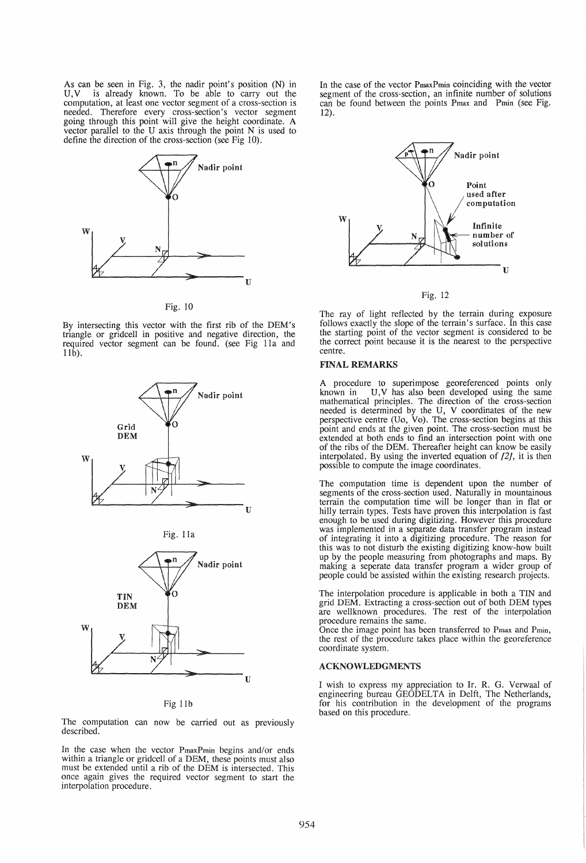As can be seen in Fig. 3, the nadir point's position (N) in V, V is already known. To be able to carry out the computation, at least one vector segment of a cross-section is needed. Therefore every cross-section's vector segment going through this point will give the height coordinate. A vector parallel to the *V* axis through the point N is used to define the direction of the cross-section (see Fig 10).



Fig. 10

By intersecting this vector with the first rib of the DEM's triangle or gridcell in positive and negative direction, the required vector segment can be found. (see Fig 11a and llb).







Fig llb

The computation can now be carried out as previously described.

In the case when the vector PmaxPmin begins and/or ends within a triangle or gridcell of a DEM, these points must also must be extended until a rib of the DEM is intersected. This once again gives the required vector segment to start the interpolation procedure.

In the case of the vector PmaxPmin coinciding with the vector segment of the cross-section, an infinite number of solutions can be found between the points Pmax and Pmin (see Fig.  $12)$ 



Fig. 12

The ray of light reflected by the terrain during exposure follows exactly the slope of the terrain's surface. In this case the starting point of the vector segment is considered to be the correct point because it is the nearest to the perspective centre.

#### FINAL REMARKS

A procedure to superimpose georeferenced points only known in U,V has also been developed using the same mathematical principles. The direction of the cross-section needed is determined by the U, V coordinates of the new perspective centre (Vo, Yo). The cross-section begins at this point and ends at the given point. The cross-section must be extended at both ends to find an intersection point with one of the ribs of the DEM. Thereafter height can know be easily interpolated. By using the inverted equation of  $[2]$ , it is then possible to compute the image coordinates.

The computation time is dependent upon the number of segments of the cross-section used. Naturally in mountainous terrain the computation time will be longer than in flat or hilly terrain types. Tests have proven this interpolation is fast enough to be used during digitizing. However this procedure was implemented in a separate data transfer program instead of integrating it into a digitizing procedure. The reason for this was to not disturb the existing digitizing know-how built up by the people measuring from photographs and maps. By making a seperate data transfer program a wider group of people could be assisted within the existing research projects.

The interpolation procedure is applicable in both a TIN and grid DEM. Extracting a cross-section out of both DEM types are wellknown procedures. The rest of the interpolation

Once the image point has been transferred to Pmax and Pmin, the rest of the procedure takes place within the georeference coordinate system.

#### ACKNOWLEDGMENTS

I wish to express my appreciation to Ir. R. G. Verwaal of engineering bureau GEODELTA in Delft, The Netherlands, for his contribution in the development of the programs based on this procedure.